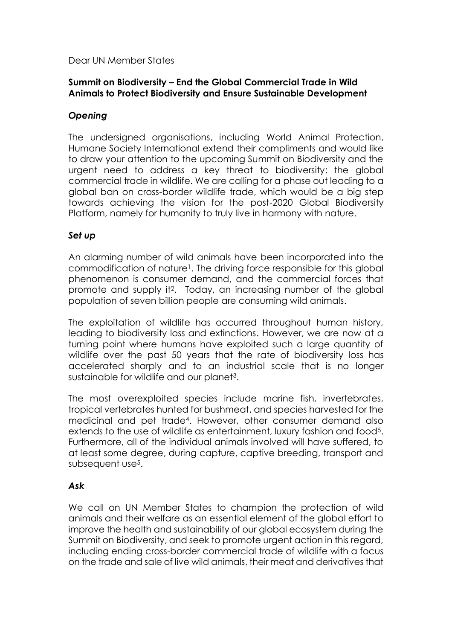Dear UN Member States

## **Summit on Biodiversity – End the Global Commercial Trade in Wild Animals to Protect Biodiversity and Ensure Sustainable Development**

# *Opening*

The undersigned organisations, including World Animal Protection, Humane Society International extend their compliments and would like to draw your attention to the upcoming Summit on Biodiversity and the urgent need to address a key threat to biodiversity: the global commercial trade in wildlife. We are calling for a phase out leading to a global ban on cross-border wildlife trade, which would be a big step towards achieving the vision for the post-2020 Global Biodiversity Platform, namely for humanity to truly live in harmony with nature.

### *Set up*

An alarming number of wild animals have been incorporated into the commodification of nature<sup>1</sup>. The driving force responsible for this global phenomenon is consumer demand, and the commercial forces that promote and supply it2. Today, an increasing number of the global population of seven billion people are consuming wild animals.

The exploitation of wildlife has occurred throughout human history, leading to biodiversity loss and extinctions. However, we are now at a turning point where humans have exploited such a large quantity of wildlife over the past 50 years that the rate of biodiversity loss has accelerated sharply and to an industrial scale that is no longer sustainable for wildlife and our planet3.

The most overexploited species include marine fish, invertebrates, tropical vertebrates hunted for bushmeat, and species harvested for the medicinal and pet trade4. However, other consumer demand also extends to the use of wildlife as entertainment, luxury fashion and food5. Furthermore, all of the individual animals involved will have suffered, to at least some degree, during capture, captive breeding, transport and subsequent use5.

### *Ask*

We call on UN Member States to champion the protection of wild animals and their welfare as an essential element of the global effort to improve the health and sustainability of our global ecosystem during the Summit on Biodiversity, and seek to promote urgent action in this regard, including ending cross-border commercial trade of wildlife with a focus on the trade and sale of live wild animals, their meat and derivatives that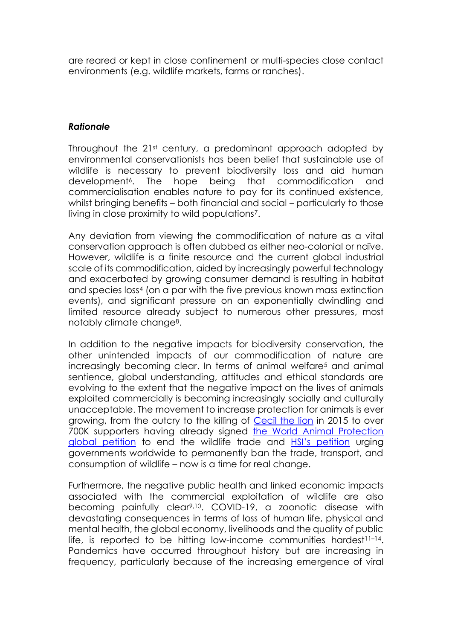are reared or kept in close confinement or multi-species close contact environments (e.g. wildlife markets, farms or ranches).

### *Rationale*

Throughout the 21st century, a predominant approach adopted by environmental conservationists has been belief that sustainable use of wildlife is necessary to prevent biodiversity loss and aid human development<sup>6</sup>. The hope being that commodification and commercialisation enables nature to pay for its continued existence, whilst bringing benefits – both financial and social – particularly to those living in close proximity to wild populations7.

Any deviation from viewing the commodification of nature as a vital conservation approach is often dubbed as either neo-colonial or naïve. However, wildlife is a finite resource and the current global industrial scale of its commodification, aided by increasingly powerful technology and exacerbated by growing consumer demand is resulting in habitat and species loss<sup>4</sup> (on a par with the five previous known mass extinction events), and significant pressure on an exponentially dwindling and limited resource already subject to numerous other pressures, most notably climate change8.

In addition to the negative impacts for biodiversity conservation, the other unintended impacts of our commodification of nature are increasingly becoming clear. In terms of animal welfare<sup>5</sup> and animal sentience, global understanding, attitudes and ethical standards are evolving to the extent that the negative impact on the lives of animals exploited commercially is becoming increasingly socially and culturally unacceptable. The movement to increase protection for animals is ever growing, from the outcry to the killing of [Cecil the lion](https://www.nationalgeographic.com/news/2016/06/cecil-african-lion-anniversary-death-trophy-hunting-zimbabwe/) in 2015 to over 700K supporters having already signed **[the World Animal Protection](https://www.worldanimalprotection.org.uk/campaigns/animals-wild/demand-end-global-wildlife-trade)** [global petition](https://www.worldanimalprotection.org.uk/campaigns/animals-wild/demand-end-global-wildlife-trade) to end the wildlife trade and [HSI's petition](https://action.hsi.org/page/55856/action/1?&ea.tracking.id=website&_ga=2.157587133.661194919.1599562462-496695021.1599562462&_gac=1.142238342.1599562464.EAIaIQobChMIysbUwLLZ6wIVjbHtCh33zQXmEAAYASAAEgKUwvD_BwE) urging governments worldwide to permanently ban the trade, transport, and consumption of wildlife – now is a time for real change.

Furthermore, the negative public health and linked economic impacts associated with the commercial exploitation of wildlife are also becoming painfully clear9,10. COVID-19, a zoonotic disease with devastating consequences in terms of loss of human life, physical and mental health, the global economy, livelihoods and the quality of public life, is reported to be hitting low-income communities hardest $11-14$ . Pandemics have occurred throughout history but are increasing in frequency, particularly because of the increasing emergence of viral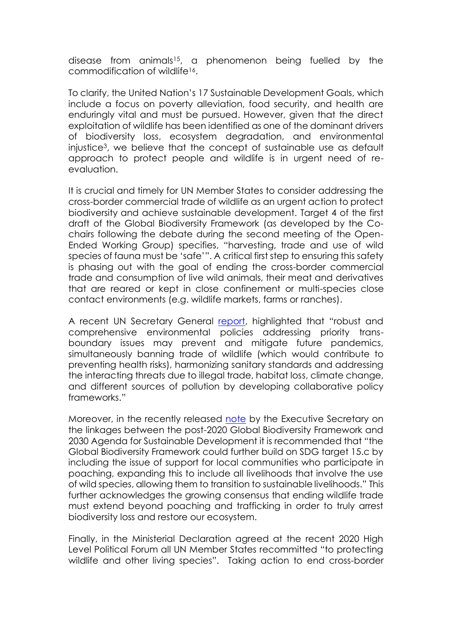disease from animals15, a phenomenon being fuelled by the commodification of wildlife<sup>16</sup>.

To clarify, the United Nation's 17 Sustainable Development Goals, which include a focus on poverty alleviation, food security, and health are enduringly vital and must be pursued. However, given that the direct exploitation of wildlife has been identified as one of the dominant drivers of biodiversity loss, ecosystem degradation, and environmental injustice3, we believe that the concept of sustainable use as default approach to protect people and wildlife is in urgent need of reevaluation.

It is crucial and timely for UN Member States to consider addressing the cross-border commercial trade of wildlife as an urgent action to protect biodiversity and achieve sustainable development. Target 4 of the first draft of the Global Biodiversity Framework (as developed by the Cochairs following the debate during the second meeting of the Open-Ended Working Group) specifies, "harvesting, trade and use of wild species of fauna must be 'safe'". A critical first step to ensuring this safety is phasing out with the goal of ending the cross-border commercial trade and consumption of live wild animals, their meat and derivatives that are reared or kept in close confinement or multi-species close contact environments (e.g. wildlife markets, farms or ranches).

A recent UN Secretary General [report](https://unsdg.un.org/sites/default/files/2020-03/SG-Report-Socio-Economic-Impact-of-Covid19.pdf), highlighted that "robust and comprehensive environmental policies addressing priority transboundary issues may prevent and mitigate future pandemics, simultaneously banning trade of wildlife (which would contribute to preventing health risks), harmonizing sanitary standards and addressing the interacting threats due to illegal trade, habitat loss, climate change, and different sources of pollution by developing collaborative policy frameworks."

Moreover, in the recently released [note](https://www.cbd.int/sbstta/sbstta-24/post-2020-sdg-linkages-en.pdf) by the Executive Secretary on the linkages between the post-2020 Global Biodiversity Framework and 2030 Agenda for Sustainable Development it is recommended that "the Global Biodiversity Framework could further build on SDG target 15.c by including the issue of support for local communities who participate in poaching, expanding this to include all livelihoods that involve the use of wild species, allowing them to transition to sustainable livelihoods." This further acknowledges the growing consensus that ending wildlife trade must extend beyond poaching and trafficking in order to truly arrest biodiversity loss and restore our ecosystem.

Finally, in the Ministerial Declaration agreed at the recent 2020 High Level Political Forum all UN Member States recommitted "to protecting wildlife and other living species". Taking action to end cross-border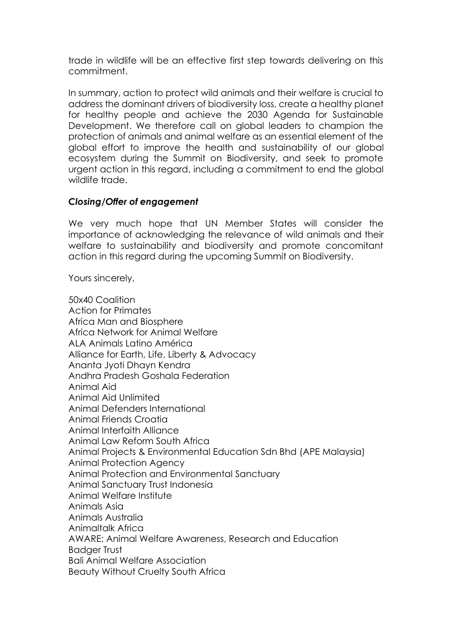trade in wildlife will be an effective first step towards delivering on this commitment.

In summary, action to protect wild animals and their welfare is crucial to address the dominant drivers of biodiversity loss, create a healthy planet for healthy people and achieve the 2030 Agenda for Sustainable Development. We therefore call on global leaders to champion the protection of animals and animal welfare as an essential element of the global effort to improve the health and sustainability of our global ecosystem during the Summit on Biodiversity, and seek to promote urgent action in this regard, including a commitment to end the global wildlife trade.

### *Closing/Offer of engagement*

We very much hope that UN Member States will consider the importance of acknowledging the relevance of wild animals and their welfare to sustainability and biodiversity and promote concomitant action in this regard during the upcoming Summit on Biodiversity.

Yours sincerely,

50x40 Coalition Action for Primates Africa Man and Biosphere Africa Network for Animal Welfare ALA Animals Latino América Alliance for Earth, Life, Liberty & Advocacy Ananta Jyoti Dhayn Kendra Andhra Pradesh Goshala Federation Animal Aid Animal Aid Unlimited Animal Defenders International Animal Friends Croatia Animal Interfaith Alliance Animal Law Reform South Africa Animal Projects & Environmental Education Sdn Bhd (APE Malaysia) Animal Protection Agency Animal Protection and Environmental Sanctuary Animal Sanctuary Trust Indonesia Animal Welfare Institute Animals Asia Animals Australia Animaltalk Africa AWARE: Animal Welfare Awareness, Research and Education Badger Trust Bali Animal Welfare Association Beauty Without Cruelty South Africa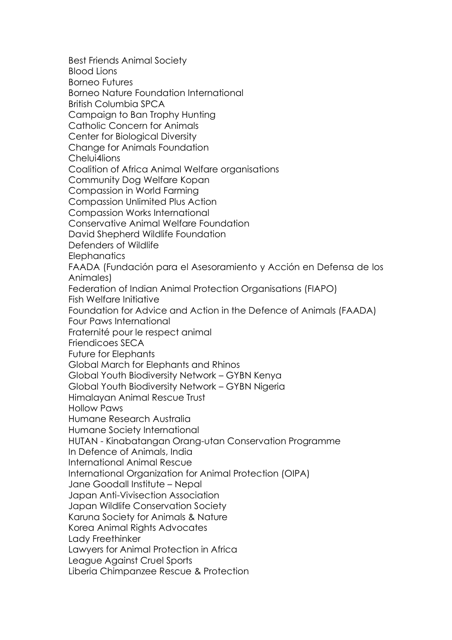Best Friends Animal Society Blood Lions Borneo Futures Borneo Nature Foundation International British Columbia SPCA Campaign to Ban Trophy Hunting Catholic Concern for Animals Center for Biological Diversity Change for Animals Foundation Chelui4lions Coalition of Africa Animal Welfare organisations Community Dog Welfare Kopan Compassion in World Farming Compassion Unlimited Plus Action Compassion Works International Conservative Animal Welfare Foundation David Shepherd Wildlife Foundation Defenders of Wildlife **Elephanatics** FAADA (Fundación para el Asesoramiento y Acción en Defensa de los Animales) Federation of Indian Animal Protection Organisations (FIAPO) Fish Welfare Initiative Foundation for Advice and Action in the Defence of Animals (FAADA) Four Paws International Fraternité pour le respect animal Friendicoes SECA Future for Elephants Global March for Elephants and Rhinos Global Youth Biodiversity Network – GYBN Kenya Global Youth Biodiversity Network – GYBN Nigeria Himalayan Animal Rescue Trust Hollow Paws Humane Research Australia Humane Society International HUTAN - Kinabatangan Orang-utan Conservation Programme In Defence of Animals, India International Animal Rescue International Organization for Animal Protection (OIPA) Jane Goodall Institute – Nepal Japan Anti-Vivisection Association Japan Wildlife Conservation Society Karuna Society for Animals & Nature Korea Animal Rights Advocates Lady Freethinker Lawyers for Animal Protection in Africa League Against Cruel Sports Liberia Chimpanzee Rescue & Protection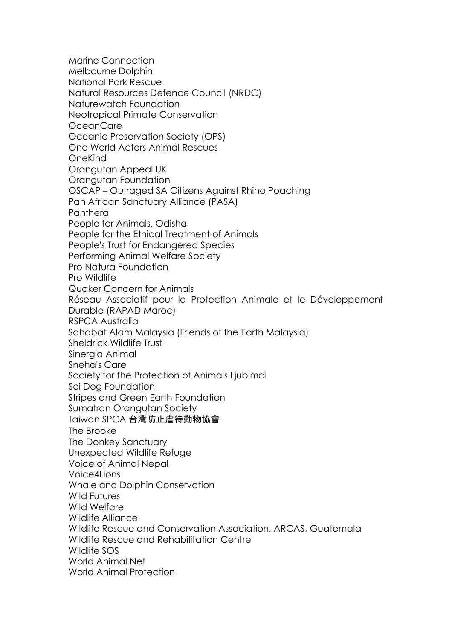Marine Connection Melbourne Dolphin National Park Rescue Natural Resources Defence Council (NRDC) Naturewatch Foundation Neotropical Primate Conservation OceanCare Oceanic Preservation Society (OPS) One World Actors Animal Rescues OneKind Orangutan Appeal UK Orangutan Foundation OSCAP – Outraged SA Citizens Against Rhino Poaching Pan African Sanctuary Alliance (PASA) Panthera People for Animals, Odisha People for the Ethical Treatment of Animals People's Trust for Endangered Species Performing Animal Welfare Society Pro Natura Foundation Pro Wildlife Quaker Concern for Animals Réseau Associatif pour la Protection Animale et le Développement Durable (RAPAD Maroc) RSPCA Australia Sahabat Alam Malaysia (Friends of the Earth Malaysia) Sheldrick Wildlife Trust Sinergia Animal Sneha's Care Society for the Protection of Animals Ljubimci Soi Dog Foundation Stripes and Green Earth Foundation Sumatran Orangutan Society Taiwan SPCA 台灣防止虐待動物協會 The Brooke The Donkey Sanctuary Unexpected Wildlife Refuge Voice of Animal Nepal Voice4Lions Whale and Dolphin Conservation Wild Futures Wild Welfare Wildlife Alliance Wildlife Rescue and Conservation Association, ARCAS, Guatemala Wildlife Rescue and Rehabilitation Centre Wildlife SOS World Animal Net World Animal Protection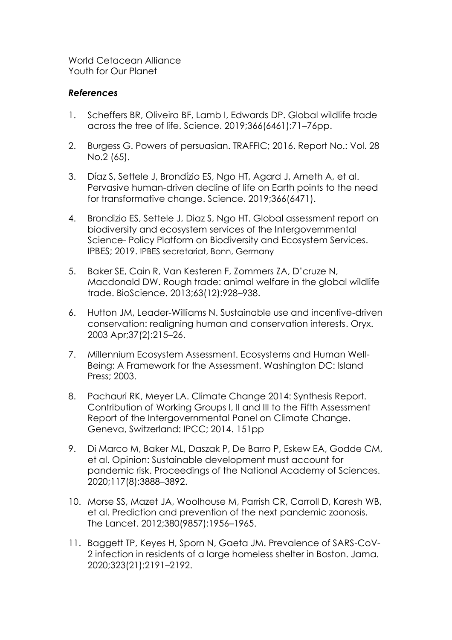World Cetacean Alliance Youth for Our Planet

### *References*

- 1. Scheffers BR, Oliveira BF, Lamb I, Edwards DP. Global wildlife trade across the tree of life. Science. 2019;366(6461):71–76pp.
- 2. Burgess G. Powers of persuasian. TRAFFIC; 2016. Report No.: Vol. 28 No.2 (65).
- 3. Díaz S, Settele J, Brondízio ES, Ngo HT, Agard J, Arneth A, et al. Pervasive human-driven decline of life on Earth points to the need for transformative change. Science. 2019;366(6471).
- 4. Brondizio ES, Settele J, Diaz S, Ngo HT. Global assessment report on biodiversity and ecosystem services of the Intergovernmental Science- Policy Platform on Biodiversity and Ecosystem Services. IPBES; 2019. IPBES secretariat, Bonn, Germany
- 5. Baker SE, Cain R, Van Kesteren F, Zommers ZA, D'cruze N, Macdonald DW. Rough trade: animal welfare in the global wildlife trade. BioScience. 2013;63(12):928–938.
- 6. Hutton JM, Leader-Williams N. Sustainable use and incentive-driven conservation: realigning human and conservation interests. Oryx. 2003 Apr;37(2):215–26.
- 7. Millennium Ecosystem Assessment. Ecosystems and Human Well-Being: A Framework for the Assessment. Washington DC: Island Press; 2003.
- 8. Pachauri RK, Meyer LA. Climate Change 2014: Synthesis Report. Contribution of Working Groups I, II and III to the Fifth Assessment Report of the Intergovernmental Panel on Climate Change. Geneva, Switzerland: IPCC; 2014. 151pp
- 9. Di Marco M, Baker ML, Daszak P, De Barro P, Eskew EA, Godde CM, et al. Opinion: Sustainable development must account for pandemic risk. Proceedings of the National Academy of Sciences. 2020;117(8):3888–3892.
- 10. Morse SS, Mazet JA, Woolhouse M, Parrish CR, Carroll D, Karesh WB, et al. Prediction and prevention of the next pandemic zoonosis. The Lancet. 2012;380(9857):1956–1965.
- 11. Baggett TP, Keyes H, Sporn N, Gaeta JM. Prevalence of SARS-CoV-2 infection in residents of a large homeless shelter in Boston. Jama. 2020;323(21):2191–2192.